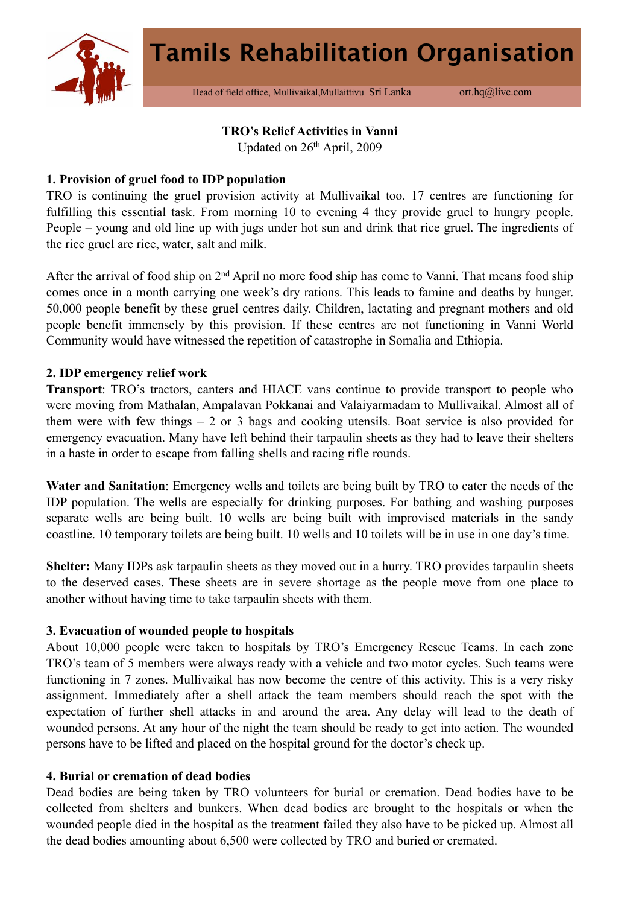

Head of field office, Mullivaikal, Mullaittivu Sri Lanka ort.hq@live.com

## **TRO's Relief Activities in Vanni**

Updated on 26th April, 2009

### **1. Provision of gruel food to IDP population**

TRO is continuing the gruel provision activity at Mullivaikal too. 17 centres are functioning for fulfilling this essential task. From morning 10 to evening 4 they provide gruel to hungry people. People – young and old line up with jugs under hot sun and drink that rice gruel. The ingredients of the rice gruel are rice, water, salt and milk.

After the arrival of food ship on 2nd April no more food ship has come to Vanni. That means food ship comes once in a month carrying one week's dry rations. This leads to famine and deaths by hunger. 50,000 people benefit by these gruel centres daily. Children, lactating and pregnant mothers and old people benefit immensely by this provision. If these centres are not functioning in Vanni World Community would have witnessed the repetition of catastrophe in Somalia and Ethiopia.

### **2. IDP emergency relief work**

**Transport**: TRO's tractors, canters and HIACE vans continue to provide transport to people who were moving from Mathalan, Ampalavan Pokkanai and Valaiyarmadam to Mullivaikal. Almost all of them were with few things  $-2$  or 3 bags and cooking utensils. Boat service is also provided for emergency evacuation. Many have left behind their tarpaulin sheets as they had to leave their shelters in a haste in order to escape from falling shells and racing rifle rounds.

**Water and Sanitation**: Emergency wells and toilets are being built by TRO to cater the needs of the IDP population. The wells are especially for drinking purposes. For bathing and washing purposes separate wells are being built. 10 wells are being built with improvised materials in the sandy coastline. 10 temporary toilets are being built. 10 wells and 10 toilets will be in use in one day's time.

**Shelter:** Many IDPs ask tarpaulin sheets as they moved out in a hurry. TRO provides tarpaulin sheets to the deserved cases. These sheets are in severe shortage as the people move from one place to another without having time to take tarpaulin sheets with them.

### **3. Evacuation of wounded people to hospitals**

About 10,000 people were taken to hospitals by TRO's Emergency Rescue Teams. In each zone TRO's team of 5 members were always ready with a vehicle and two motor cycles. Such teams were functioning in 7 zones. Mullivaikal has now become the centre of this activity. This is a very risky assignment. Immediately after a shell attack the team members should reach the spot with the expectation of further shell attacks in and around the area. Any delay will lead to the death of wounded persons. At any hour of the night the team should be ready to get into action. The wounded persons have to be lifted and placed on the hospital ground for the doctor's check up.

### **4. Burial or cremation of dead bodies**

Dead bodies are being taken by TRO volunteers for burial or cremation. Dead bodies have to be collected from shelters and bunkers. When dead bodies are brought to the hospitals or when the wounded people died in the hospital as the treatment failed they also have to be picked up. Almost all the dead bodies amounting about 6,500 were collected by TRO and buried or cremated.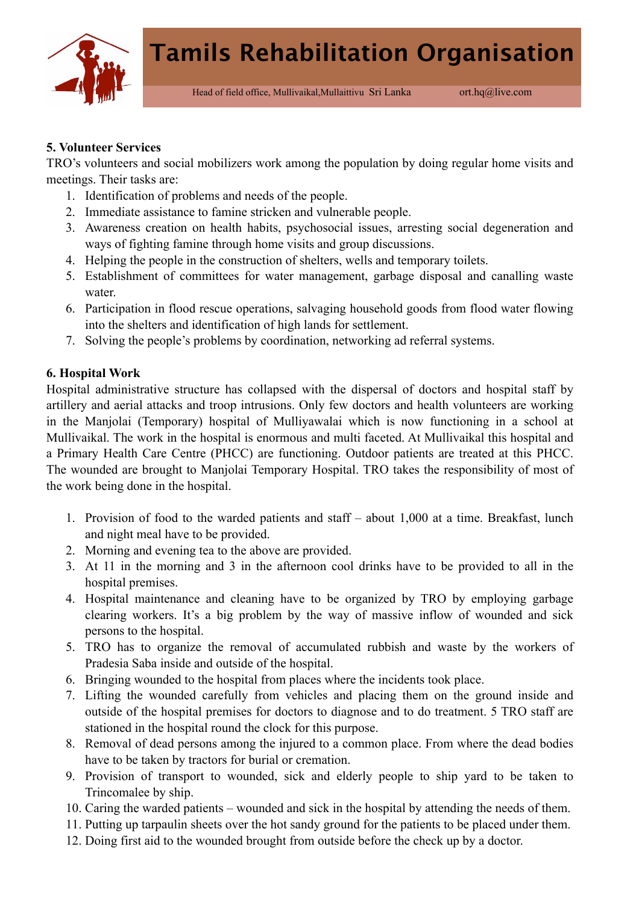

### **5. Volunteer Services**

TRO's volunteers and social mobilizers work among the population by doing regular home visits and meetings. Their tasks are:

- 1. Identification of problems and needs of the people.
- 2. Immediate assistance to famine stricken and vulnerable people.
- 3. Awareness creation on health habits, psychosocial issues, arresting social degeneration and ways of fighting famine through home visits and group discussions.
- 4. Helping the people in the construction of shelters, wells and temporary toilets.
- 5. Establishment of committees for water management, garbage disposal and canalling waste water
- 6. Participation in flood rescue operations, salvaging household goods from flood water flowing into the shelters and identification of high lands for settlement.
- 7. Solving the people's problems by coordination, networking ad referral systems.

## **6. Hospital Work**

Hospital administrative structure has collapsed with the dispersal of doctors and hospital staff by artillery and aerial attacks and troop intrusions. Only few doctors and health volunteers are working in the Manjolai (Temporary) hospital of Mulliyawalai which is now functioning in a school at Mullivaikal. The work in the hospital is enormous and multi faceted. At Mullivaikal this hospital and a Primary Health Care Centre (PHCC) are functioning. Outdoor patients are treated at this PHCC. The wounded are brought to Manjolai Temporary Hospital. TRO takes the responsibility of most of the work being done in the hospital.

- 1. Provision of food to the warded patients and staff about 1,000 at a time. Breakfast, lunch and night meal have to be provided.
- 2. Morning and evening tea to the above are provided.
- 3. At 11 in the morning and 3 in the afternoon cool drinks have to be provided to all in the hospital premises.
- 4. Hospital maintenance and cleaning have to be organized by TRO by employing garbage clearing workers. It's a big problem by the way of massive inflow of wounded and sick persons to the hospital.
- 5. TRO has to organize the removal of accumulated rubbish and waste by the workers of Pradesia Saba inside and outside of the hospital.
- 6. Bringing wounded to the hospital from places where the incidents took place.
- 7. Lifting the wounded carefully from vehicles and placing them on the ground inside and outside of the hospital premises for doctors to diagnose and to do treatment. 5 TRO staff are stationed in the hospital round the clock for this purpose.
- 8. Removal of dead persons among the injured to a common place. From where the dead bodies have to be taken by tractors for burial or cremation.
- 9. Provision of transport to wounded, sick and elderly people to ship yard to be taken to Trincomalee by ship.
- 10. Caring the warded patients wounded and sick in the hospital by attending the needs of them.
- 11. Putting up tarpaulin sheets over the hot sandy ground for the patients to be placed under them.
- 12. Doing first aid to the wounded brought from outside before the check up by a doctor.